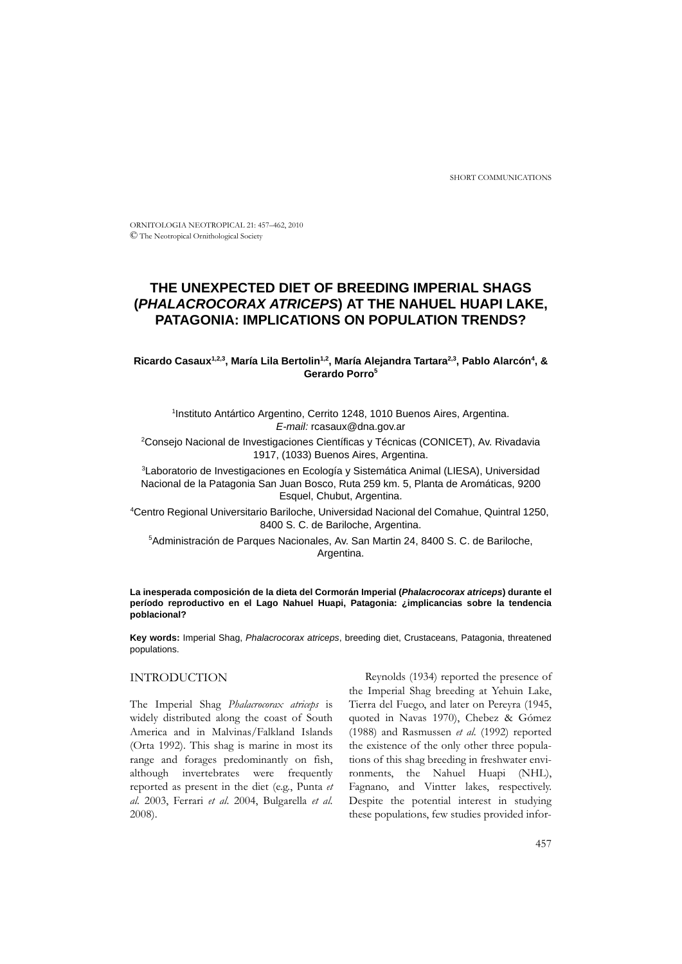SHORT COMMUNICATIONS

ORNITOLOGIA NEOTROPICAL 21: 457–462, 2010 © The Neotropical Ornithological Society

# **THE UNEXPECTED DIET OF BREEDING IMPERIAL SHAGS (***PHALACROCORAX ATRICEPS***) AT THE NAHUEL HUAPI LAKE, PATAGONIA: IMPLICATIONS ON POPULATION TRENDS?**

Ricardo Casaux<sup>1,2,3</sup>, María Lila Bertolin<sup>1,2</sup>, María Alejandra Tartara<sup>2,3</sup>, Pablo Alarcón<sup>4</sup>, & **Gerardo Porro5**

<sup>1</sup>Instituto Antártico Argentino, Cerrito 1248, 1010 Buenos Aires, Argentina. *E-mail:* rcasaux@dna.gov.ar

2 Consejo Nacional de Investigaciones Científicas y Técnicas (CONICET), Av. Rivadavia 1917, (1033) Buenos Aires, Argentina.

<sup>3</sup>Laboratorio de Investigaciones en Ecología y Sistemática Animal (LIESA), Universidad Nacional de la Patagonia San Juan Bosco, Ruta 259 km. 5, Planta de Aromáticas, 9200 Esquel, Chubut, Argentina.

4 Centro Regional Universitario Bariloche, Universidad Nacional del Comahue, Quintral 1250, 8400 S. C. de Bariloche, Argentina.

5 Administración de Parques Nacionales, Av. San Martin 24, 8400 S. C. de Bariloche, Argentina.

**La inesperada composición de la dieta del Cormorán Imperial (***Phalacrocorax atriceps***) durante el período reproductivo en el Lago Nahuel Huapi, Patagonia: ¿implicancias sobre la tendencia poblacional?**

**Key words:** Imperial Shag, *Phalacrocorax atriceps*, breeding diet, Crustaceans, Patagonia, threatened populations.

# INTRODUCTION

The Imperial Shag *Phalacrocorax atriceps* is widely distributed along the coast of South America and in Malvinas/Falkland Islands (Orta 1992). This shag is marine in most its range and forages predominantly on fish, although invertebrates were frequently reported as present in the diet (e.g., Punta *et al*. 2003, Ferrari *et al*. 2004, Bulgarella *et al*. 2008).

Reynolds (1934) reported the presence of the Imperial Shag breeding at Yehuin Lake, Tierra del Fuego, and later on Pereyra (1945, quoted in Navas 1970), Chebez & Gómez (1988) and Rasmussen *et al*. (1992) reported the existence of the only other three populations of this shag breeding in freshwater environments, the Nahuel Huapi (NHL), Fagnano, and Vintter lakes, respectively. Despite the potential interest in studying these populations, few studies provided infor-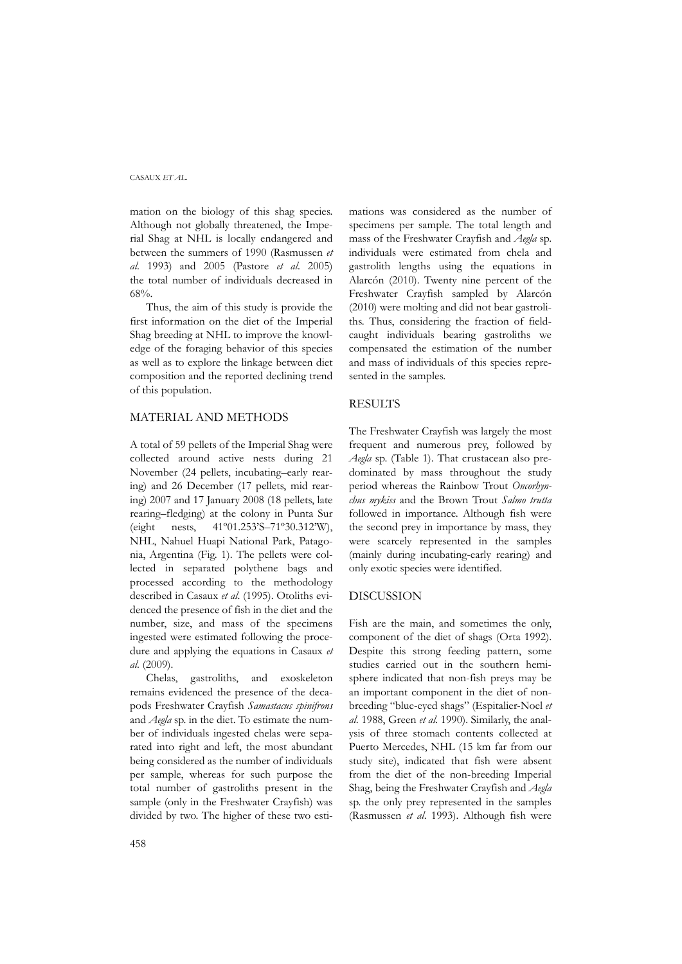# CASAUX *ET AL.*

mation on the biology of this shag species. Although not globally threatened, the Imperial Shag at NHL is locally endangered and between the summers of 1990 (Rasmussen *et al*. 1993) and 2005 (Pastore *et al*. 2005) the total number of individuals decreased in 68%.

Thus, the aim of this study is provide the first information on the diet of the Imperial Shag breeding at NHL to improve the knowledge of the foraging behavior of this species as well as to explore the linkage between diet composition and the reported declining trend of this population.

# MATERIAL AND METHODS

A total of 59 pellets of the Imperial Shag were collected around active nests during 21 November (24 pellets, incubating–early rearing) and 26 December (17 pellets, mid rearing) 2007 and 17 January 2008 (18 pellets, late rearing–fledging) at the colony in Punta Sur (eight nests, 41º01.253'S–71º30.312'W), NHL, Nahuel Huapi National Park, Patagonia, Argentina (Fig. 1). The pellets were collected in separated polythene bags and processed according to the methodology described in Casaux *et al*. (1995). Otoliths evidenced the presence of fish in the diet and the number, size, and mass of the specimens ingested were estimated following the procedure and applying the equations in Casaux *et al*. (2009).

Chelas, gastroliths, and exoskeleton remains evidenced the presence of the decapods Freshwater Crayfish *Samastacus spinifrons* and *Aegla* sp. in the diet. To estimate the number of individuals ingested chelas were separated into right and left, the most abundant being considered as the number of individuals per sample, whereas for such purpose the total number of gastroliths present in the sample (only in the Freshwater Crayfish) was divided by two. The higher of these two esti-

mations was considered as the number of specimens per sample. The total length and mass of the Freshwater Crayfish and *Aegla* sp. individuals were estimated from chela and gastrolith lengths using the equations in Alarcón (2010). Twenty nine percent of the Freshwater Crayfish sampled by Alarcón (2010) were molting and did not bear gastroliths. Thus, considering the fraction of fieldcaught individuals bearing gastroliths we compensated the estimation of the number and mass of individuals of this species represented in the samples.

# RESULTS

The Freshwater Crayfish was largely the most frequent and numerous prey, followed by *Aegla* sp. (Table 1). That crustacean also predominated by mass throughout the study period whereas the Rainbow Trout *Oncorhynchus mykiss* and the Brown Trout *Salmo trutta* followed in importance. Although fish were the second prey in importance by mass, they were scarcely represented in the samples (mainly during incubating-early rearing) and only exotic species were identified.

# DISCUSSION

Fish are the main, and sometimes the only, component of the diet of shags (Orta 1992). Despite this strong feeding pattern, some studies carried out in the southern hemisphere indicated that non-fish preys may be an important component in the diet of nonbreeding "blue-eyed shags" (Espitalier-Noel *et al*. 1988, Green *et al*. 1990). Similarly, the analysis of three stomach contents collected at Puerto Mercedes, NHL (15 km far from our study site), indicated that fish were absent from the diet of the non-breeding Imperial Shag, being the Freshwater Crayfish and *Aegla* sp. the only prey represented in the samples (Rasmussen *et al*. 1993). Although fish were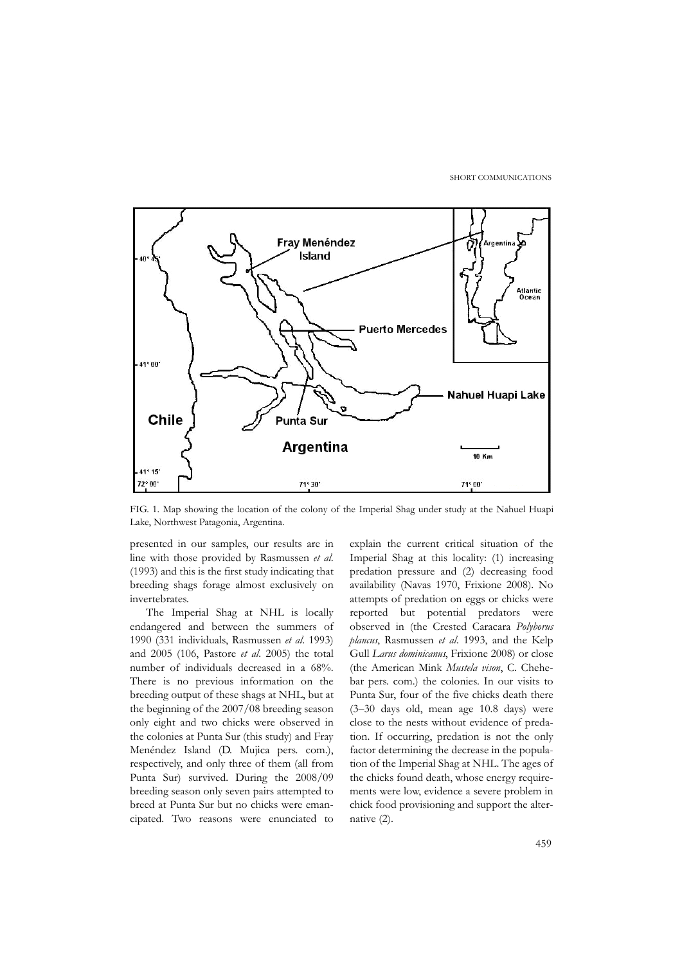SHORT COMMUNICATIONS



FIG. 1. Map showing the location of the colony of the Imperial Shag under study at the Nahuel Huapi Lake, Northwest Patagonia, Argentina.

presented in our samples, our results are in line with those provided by Rasmussen *et al*. (1993) and this is the first study indicating that breeding shags forage almost exclusively on invertebrates.

The Imperial Shag at NHL is locally endangered and between the summers of 1990 (331 individuals, Rasmussen *et al*. 1993) and 2005 (106, Pastore *et al*. 2005) the total number of individuals decreased in a 68%. There is no previous information on the breeding output of these shags at NHL, but at the beginning of the 2007/08 breeding season only eight and two chicks were observed in the colonies at Punta Sur (this study) and Fray Menéndez Island (D. Mujica pers. com.), respectively, and only three of them (all from Punta Sur) survived. During the 2008/09 breeding season only seven pairs attempted to breed at Punta Sur but no chicks were emancipated. Two reasons were enunciated to

explain the current critical situation of the Imperial Shag at this locality: (1) increasing predation pressure and (2) decreasing food availability (Navas 1970, Frixione 2008). No attempts of predation on eggs or chicks were reported but potential predators were observed in (the Crested Caracara *Polyborus plancus*, Rasmussen *et al*. 1993, and the Kelp Gull *Larus dominicanus*, Frixione 2008) or close (the American Mink *Mustela vison*, C. Chehebar pers. com.) the colonies. In our visits to Punta Sur, four of the five chicks death there (3–30 days old, mean age 10.8 days) were close to the nests without evidence of predation. If occurring, predation is not the only factor determining the decrease in the population of the Imperial Shag at NHL. The ages of the chicks found death, whose energy requirements were low, evidence a severe problem in chick food provisioning and support the alternative (2).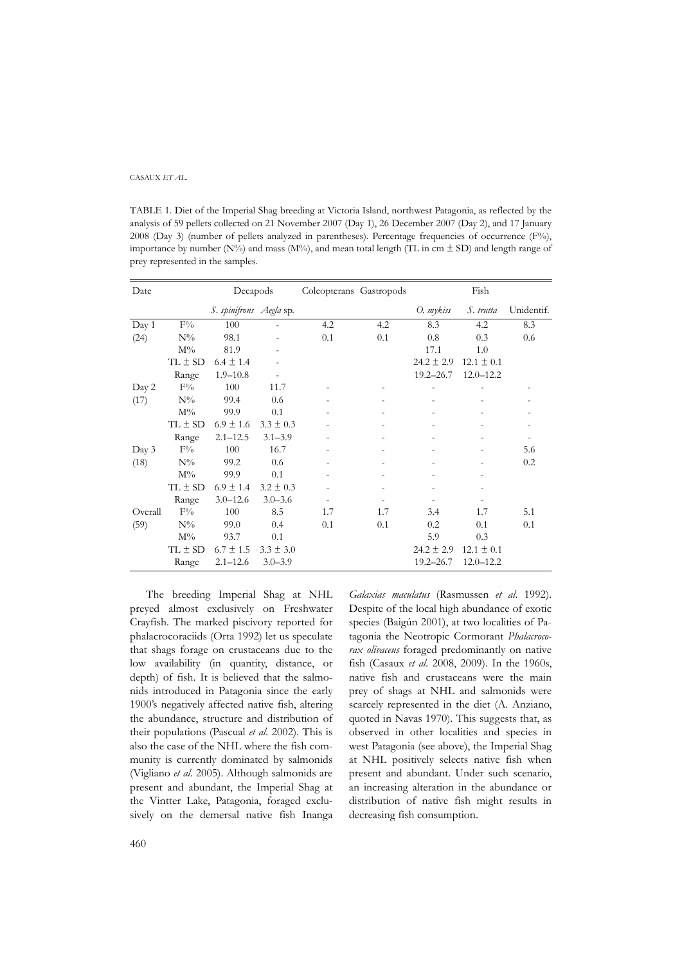#### CASAUX *ET AL.*

TABLE 1. Diet of the Imperial Shag breeding at Victoria Island, northwest Patagonia, as reflected by the analysis of 59 pellets collected on 21 November 2007 (Day 1), 26 December 2007 (Day 2), and 17 January 2008 (Day 3) (number of pellets analyzed in parentheses). Percentage frequencies of occurrence  $(F\%)$ , importance by number (N%) and mass (M%), and mean total length (TL in cm  $\pm$  SD) and length range of prey represented in the samples.

| Date    | Decapods       |                         |                          | Coleopterans Gastropods |     |                | Fish           |            |
|---------|----------------|-------------------------|--------------------------|-------------------------|-----|----------------|----------------|------------|
|         |                | S. spinifrons Aegla sp. |                          |                         |     | O. mykiss      | S. trutta      | Unidentif. |
| Day 1   | $F\%$          | 100                     |                          | 4.2                     | 4.2 | 8.3            | 4.2            | 8.3        |
| (24)    | $N\%$          | 98.1                    |                          | 0.1                     | 0.1 | 0.8            | 0.3            | 0.6        |
|         | $M\%$          | 81.9                    |                          |                         |     | 17.1           | 1.0            |            |
|         | $TL \pm SD$    | $6.4 \pm 1.4$           |                          |                         |     | $24.2 \pm 2.9$ | $12.1 \pm 0.1$ |            |
|         | Range          | $1.9 - 10.8$            | $\overline{\phantom{a}}$ |                         |     | $19.2 - 26.7$  | $12.0 - 12.2$  |            |
| Day 2   | $F\%$          | 100                     | 11.7                     |                         |     |                |                |            |
| (17)    | $N\%$          | 99.4                    | 0.6                      |                         |     |                |                |            |
|         | $M\%$          | 99.9                    | 0.1                      |                         |     |                |                |            |
|         | $TL \pm SD$    | $6.9 \pm 1.6$           | $3.3 \pm 0.3$            |                         |     |                |                |            |
|         | Range          | $2.1 - 12.5$            | $3.1 - 3.9$              | ۰                       |     |                |                |            |
| Day 3   | $F\%$          | 100                     | 16.7                     |                         |     |                |                | 5.6        |
| (18)    | $N\%$          | 99.2                    | 0.6                      |                         |     |                |                | 0.2        |
|         | $\mathrm{M}\%$ | 99.9                    | 0.1                      |                         |     |                |                |            |
|         | $TL \pm SD$    | $6.9 \pm 1.4$           | $3.2 \pm 0.3$            |                         |     |                |                |            |
|         | Range          | $3.0 - 12.6$            | $3.0 - 3.6$              | $\overline{a}$          |     |                |                |            |
| Overall | $F\%$          | 100                     | 8.5                      | 1.7                     | 1.7 | 3.4            | 1.7            | 5.1        |
| (59)    | $N\%$          | 99.0                    | 0.4                      | 0.1                     | 0.1 | 0.2            | 0.1            | 0.1        |
|         | $M\%$          | 93.7                    | 0.1                      |                         |     | 5.9            | 0.3            |            |
|         | $TL \pm SD$    | $6.7 \pm 1.5$           | $3.3 \pm 3.0$            |                         |     | $24.2 \pm 2.9$ | $12.1 \pm 0.1$ |            |
|         | Range          | $2.1 - 12.6$            | $3.0 - 3.9$              |                         |     | $19.2 - 26.7$  | $12.0 - 12.2$  |            |

The breeding Imperial Shag at NHL preyed almost exclusively on Freshwater Crayfish. The marked piscivory reported for phalacrocoraciids (Orta 1992) let us speculate that shags forage on crustaceans due to the low availability (in quantity, distance, or depth) of fish. It is believed that the salmonids introduced in Patagonia since the early 1900's negatively affected native fish, altering the abundance, structure and distribution of their populations (Pascual *et al*. 2002). This is also the case of the NHL where the fish community is currently dominated by salmonids (Vigliano *et al*. 2005). Although salmonids are present and abundant, the Imperial Shag at the Vintter Lake, Patagonia, foraged exclusively on the demersal native fish Inanga

*Galaxias maculatus* (Rasmussen *et al*. 1992). Despite of the local high abundance of exotic species (Baigún 2001), at two localities of Patagonia the Neotropic Cormorant *Phalacrocorax olivaceus* foraged predominantly on native fish (Casaux *et al*. 2008, 2009). In the 1960s, native fish and crustaceans were the main prey of shags at NHL and salmonids were scarcely represented in the diet (A. Anziano, quoted in Navas 1970). This suggests that, as observed in other localities and species in west Patagonia (see above), the Imperial Shag at NHL positively selects native fish when present and abundant. Under such scenario, an increasing alteration in the abundance or distribution of native fish might results in decreasing fish consumption.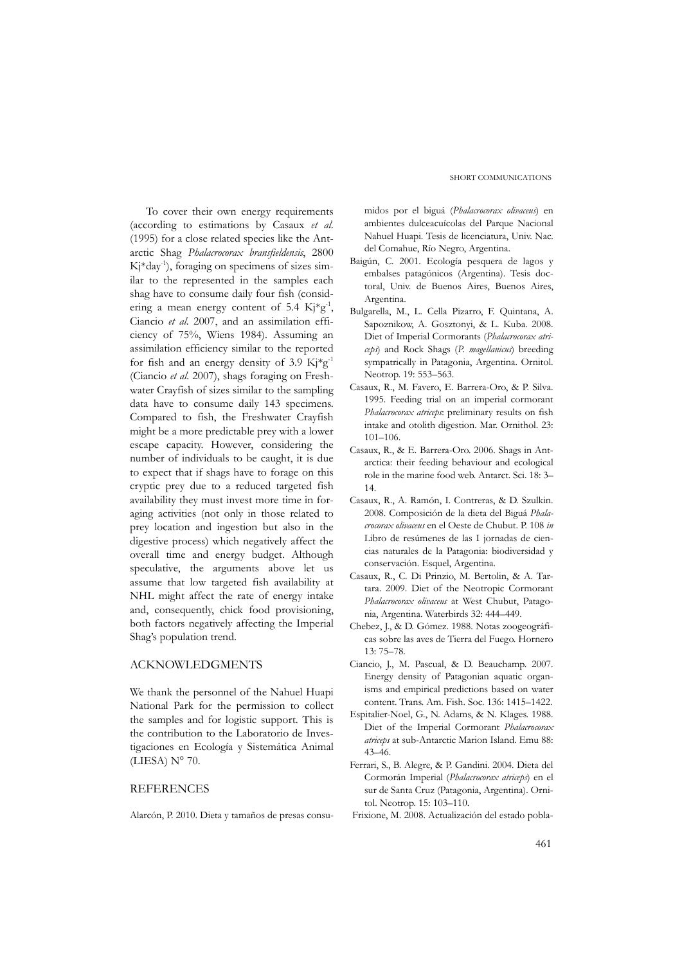#### SHORT COMMUNICATIONS

To cover their own energy requirements (according to estimations by Casaux *et al*. (1995) for a close related species like the Antarctic Shag *Phalacrocorax bransfieldensis*, 2800  $K<sub>i</sub>$ \*day<sup>-1</sup>), foraging on specimens of sizes similar to the represented in the samples each shag have to consume daily four fish (considering a mean energy content of 5.4  $Kj*g^{-1}$ , Ciancio *et al*. 2007, and an assimilation efficiency of 75%, Wiens 1984). Assuming an assimilation efficiency similar to the reported for fish and an energy density of 3.9  $\text{Kj}^*\text{g}^{-1}$ (Ciancio *et al*. 2007), shags foraging on Freshwater Crayfish of sizes similar to the sampling data have to consume daily 143 specimens. Compared to fish, the Freshwater Crayfish might be a more predictable prey with a lower escape capacity. However, considering the number of individuals to be caught, it is due to expect that if shags have to forage on this cryptic prey due to a reduced targeted fish availability they must invest more time in foraging activities (not only in those related to prey location and ingestion but also in the digestive process) which negatively affect the overall time and energy budget. Although speculative, the arguments above let us assume that low targeted fish availability at NHL might affect the rate of energy intake and, consequently, chick food provisioning, both factors negatively affecting the Imperial Shag's population trend.

# ACKNOWLEDGMENTS

We thank the personnel of the Nahuel Huapi National Park for the permission to collect the samples and for logistic support. This is the contribution to the Laboratorio de Investigaciones en Ecología y Sistemática Animal (LIESA) N° 70.

# **REFERENCES**

Alarcón, P. 2010. Dieta y tamaños de presas consu-

midos por el biguá (*Phalacrocorax olivaceus*) en ambientes dulceacuícolas del Parque Nacional Nahuel Huapi. Tesis de licenciatura, Univ. Nac. del Comahue, Río Negro, Argentina.

- Baigún, C. 2001. Ecología pesquera de lagos y embalses patagónicos (Argentina). Tesis doctoral, Univ. de Buenos Aires, Buenos Aires, Argentina.
- Bulgarella, M., L. Cella Pizarro, F. Quintana, A. Sapoznikow, A. Gosztonyi, & L. Kuba. 2008. Diet of Imperial Cormorants (*Phalacrocorax atriceps*) and Rock Shags (*P. magellanicus*) breeding sympatrically in Patagonia, Argentina. Ornitol. Neotrop. 19: 553–563.
- Casaux, R., M. Favero, E. Barrera-Oro, & P. Silva. 1995. Feeding trial on an imperial cormorant *Phalacrocorax atriceps*: preliminary results on fish intake and otolith digestion. Mar. Ornithol. 23: 101–106.
- Casaux, R., & E. Barrera-Oro. 2006. Shags in Antarctica: their feeding behaviour and ecological role in the marine food web. Antarct. Sci. 18: 3– 14.
- Casaux, R., A. Ramón, I. Contreras, & D. Szulkin. 2008. Composición de la dieta del Biguá *Phalacrocorax olivaceus* en el Oeste de Chubut. P. 108 *in* Libro de resúmenes de las I jornadas de ciencias naturales de la Patagonia: biodiversidad y conservación. Esquel, Argentina.
- Casaux, R., C. Di Prinzio, M. Bertolin, & A. Tartara. 2009. Diet of the Neotropic Cormorant *Phalacrocorax olivaceus* at West Chubut, Patagonia, Argentina. Waterbirds 32: 444–449.
- Chebez, J., & D. Gómez. 1988. Notas zoogeográficas sobre las aves de Tierra del Fuego. Hornero 13: 75–78.
- Ciancio, J., M. Pascual, & D. Beauchamp. 2007. Energy density of Patagonian aquatic organisms and empirical predictions based on water content. Trans. Am. Fish. Soc. 136: 1415–1422.
- Espitalier-Noel, G., N. Adams, & N. Klages. 1988. Diet of the Imperial Cormorant *Phalacrocorax atriceps* at sub-Antarctic Marion Island. Emu 88: 43–46.
- Ferrari, S., B. Alegre, & P. Gandini. 2004. Dieta del Cormorán Imperial (*Phalacrocorax atriceps*) en el sur de Santa Cruz (Patagonia, Argentina). Ornitol. Neotrop. 15: 103–110.
- Frixione, M. 2008. Actualización del estado pobla-